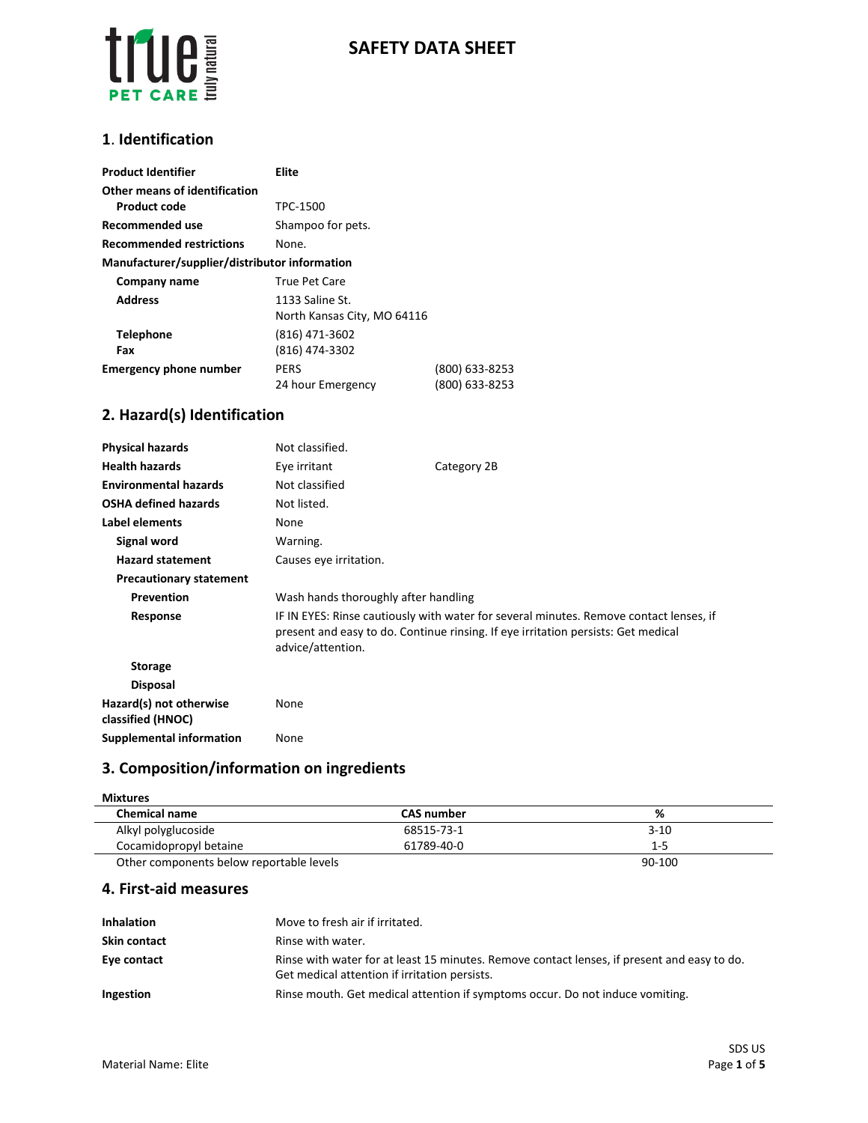

### **1**. **Identification**

| <b>Product Identifier</b>                     | Elite                       |                |  |
|-----------------------------------------------|-----------------------------|----------------|--|
| Other means of identification                 |                             |                |  |
| <b>Product code</b>                           | TPC-1500                    |                |  |
| Recommended use                               | Shampoo for pets.           |                |  |
| <b>Recommended restrictions</b>               | None.                       |                |  |
| Manufacturer/supplier/distributor information |                             |                |  |
| Company name                                  | <b>True Pet Care</b>        |                |  |
| <b>Address</b>                                | 1133 Saline St.             |                |  |
|                                               | North Kansas City, MO 64116 |                |  |
| <b>Telephone</b>                              | (816) 471-3602              |                |  |
| Fax                                           | (816) 474-3302              |                |  |
| <b>Emergency phone number</b>                 | <b>PERS</b>                 | (800) 633-8253 |  |
|                                               | 24 hour Emergency           | (800) 633-8253 |  |

# **2. Hazard(s) Identification**

| <b>Physical hazards</b>                      | Not classified.                                                                                                                                                                                  |             |
|----------------------------------------------|--------------------------------------------------------------------------------------------------------------------------------------------------------------------------------------------------|-------------|
| <b>Health hazards</b>                        | Eye irritant                                                                                                                                                                                     | Category 2B |
| <b>Environmental hazards</b>                 | Not classified                                                                                                                                                                                   |             |
| <b>OSHA defined hazards</b>                  | Not listed.                                                                                                                                                                                      |             |
| Label elements                               | None                                                                                                                                                                                             |             |
| Signal word                                  | Warning.                                                                                                                                                                                         |             |
| <b>Hazard statement</b>                      | Causes eye irritation.                                                                                                                                                                           |             |
| <b>Precautionary statement</b>               |                                                                                                                                                                                                  |             |
| Prevention                                   | Wash hands thoroughly after handling                                                                                                                                                             |             |
| Response                                     | IF IN EYES: Rinse cautiously with water for several minutes. Remove contact lenses, if<br>present and easy to do. Continue rinsing. If eye irritation persists: Get medical<br>advice/attention. |             |
| <b>Storage</b>                               |                                                                                                                                                                                                  |             |
| <b>Disposal</b>                              |                                                                                                                                                                                                  |             |
| Hazard(s) not otherwise<br>classified (HNOC) | None                                                                                                                                                                                             |             |
| <b>Supplemental information</b>              | None                                                                                                                                                                                             |             |

# **3. Composition/information on ingredients**

| <b>Mixtures</b>                          |                   |          |
|------------------------------------------|-------------------|----------|
| <b>Chemical name</b>                     | <b>CAS number</b> | %        |
| Alkyl polyglucoside                      | 68515-73-1        | $3 - 10$ |
| Cocamidopropyl betaine                   | 61789-40-0        | $1 - 5$  |
| Other components below reportable levels |                   | 90-100   |

**4. First-aid measures**

| <b>Inhalation</b>   | Move to fresh air if irritated.                                                                                                              |
|---------------------|----------------------------------------------------------------------------------------------------------------------------------------------|
| <b>Skin contact</b> | Rinse with water.                                                                                                                            |
| Eye contact         | Rinse with water for at least 15 minutes. Remove contact lenses, if present and easy to do.<br>Get medical attention if irritation persists. |
| Ingestion           | Rinse mouth. Get medical attention if symptoms occur. Do not induce vomiting.                                                                |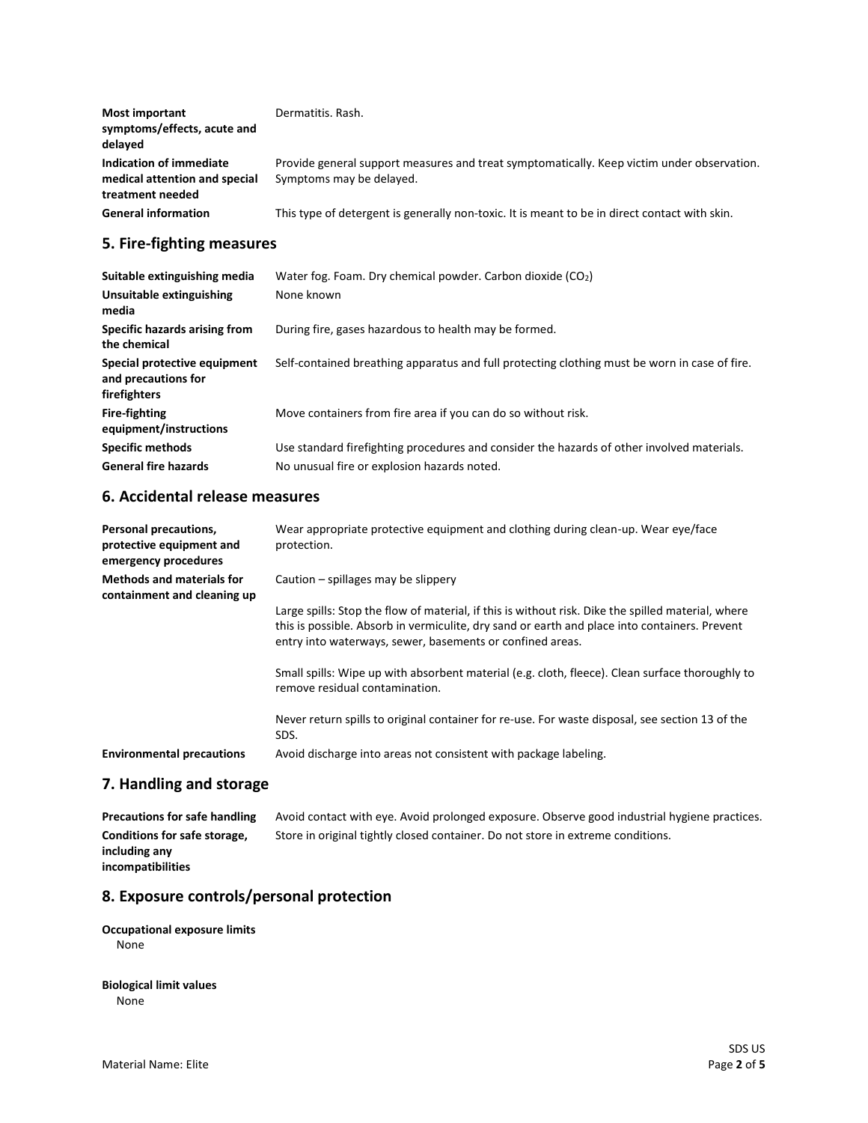| <b>Most important</b><br>symptoms/effects, acute and<br>delayed              | Dermatitis, Rash.                                                                                                      |
|------------------------------------------------------------------------------|------------------------------------------------------------------------------------------------------------------------|
| Indication of immediate<br>medical attention and special<br>treatment needed | Provide general support measures and treat symptomatically. Keep victim under observation.<br>Symptoms may be delayed. |
| <b>General information</b>                                                   | This type of detergent is generally non-toxic. It is meant to be in direct contact with skin.                          |

# **5. Fire-fighting measures**

| Suitable extinguishing media                                        | Water fog. Foam. Dry chemical powder. Carbon dioxide $(CO2)$                                                                              |
|---------------------------------------------------------------------|-------------------------------------------------------------------------------------------------------------------------------------------|
| Unsuitable extinguishing<br>media                                   | None known                                                                                                                                |
| Specific hazards arising from<br>the chemical                       | During fire, gases hazardous to health may be formed.                                                                                     |
| Special protective equipment<br>and precautions for<br>firefighters | Self-contained breathing apparatus and full protecting clothing must be worn in case of fire.                                             |
| <b>Fire-fighting</b><br>equipment/instructions                      | Move containers from fire area if you can do so without risk.                                                                             |
| <b>Specific methods</b><br><b>General fire hazards</b>              | Use standard firefighting procedures and consider the hazards of other involved materials.<br>No unusual fire or explosion hazards noted. |

## **6. Accidental release measures**

| Personal precautions,<br>protective equipment and<br>emergency procedures | Wear appropriate protective equipment and clothing during clean-up. Wear eye/face<br>protection.                                                                                                                                                                 |
|---------------------------------------------------------------------------|------------------------------------------------------------------------------------------------------------------------------------------------------------------------------------------------------------------------------------------------------------------|
| <b>Methods and materials for</b><br>containment and cleaning up           | Caution $-$ spillages may be slippery                                                                                                                                                                                                                            |
|                                                                           | Large spills: Stop the flow of material, if this is without risk. Dike the spilled material, where<br>this is possible. Absorb in vermiculite, dry sand or earth and place into containers. Prevent<br>entry into waterways, sewer, basements or confined areas. |
|                                                                           | Small spills: Wipe up with absorbent material (e.g. cloth, fleece). Clean surface thoroughly to<br>remove residual contamination.                                                                                                                                |
|                                                                           | Never return spills to original container for re-use. For waste disposal, see section 13 of the<br>SDS.                                                                                                                                                          |
| <b>Environmental precautions</b>                                          | Avoid discharge into areas not consistent with package labeling.                                                                                                                                                                                                 |

## **7. Handling and storage**

**Precautions for safe handling** Avoid contact with eye. Avoid prolonged exposure. Observe good industrial hygiene practices. **Conditions for safe storage, including any incompatibilities** Store in original tightly closed container. Do not store in extreme conditions.

## **8. Exposure controls/personal protection**

### **Occupational exposure limits** None

### **Biological limit values** None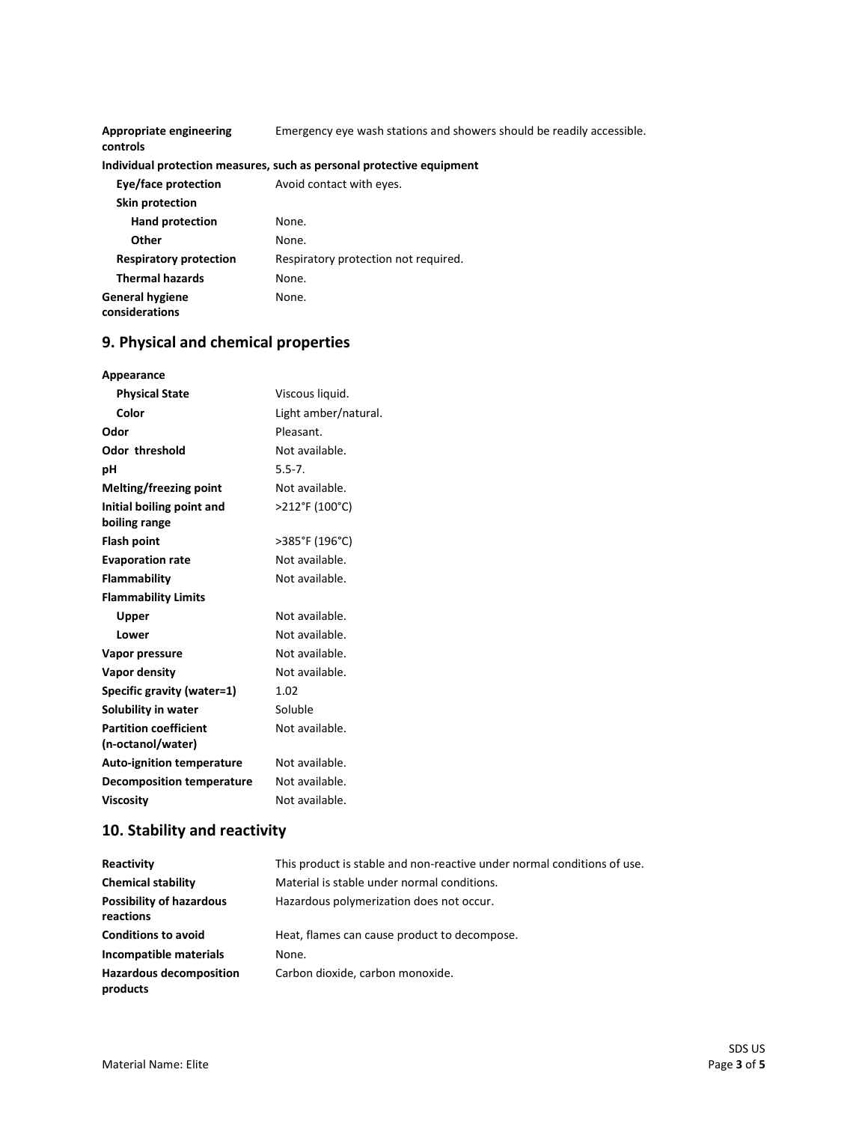| Appropriate engineering<br>controls      | Emergency eye wash stations and showers should be readily accessible. |
|------------------------------------------|-----------------------------------------------------------------------|
|                                          | Individual protection measures, such as personal protective equipment |
| Eye/face protection                      | Avoid contact with eyes.                                              |
| Skin protection                          |                                                                       |
| <b>Hand protection</b>                   | None.                                                                 |
| Other                                    | None.                                                                 |
| <b>Respiratory protection</b>            | Respiratory protection not required.                                  |
| <b>Thermal hazards</b>                   | None.                                                                 |
| <b>General hygiene</b><br>considerations | None.                                                                 |

# **9. Physical and chemical properties**

| Appearance                       |                      |
|----------------------------------|----------------------|
| <b>Physical State</b>            | Viscous liquid.      |
| Color                            | Light amber/natural. |
| Odor                             | Pleasant.            |
| <b>Odor threshold</b>            | Not available.       |
| рH                               | $5.5 - 7.$           |
| Melting/freezing point           | Not available.       |
| Initial boiling point and        | >212°F (100°C)       |
| boiling range                    |                      |
| <b>Flash point</b>               | >385°F (196°C)       |
| <b>Evaporation rate</b>          | Not available.       |
| <b>Flammability</b>              | Not available.       |
| <b>Flammability Limits</b>       |                      |
| Upper                            | Not available.       |
| Lower                            | Not available.       |
| Vapor pressure                   | Not available.       |
| Vapor density                    | Not available.       |
| Specific gravity (water=1)       | 1.02                 |
| Solubility in water              | Soluble              |
| <b>Partition coefficient</b>     | Not available.       |
| (n-octanol/water)                |                      |
| <b>Auto-ignition temperature</b> | Not available.       |
| <b>Decomposition temperature</b> | Not available.       |
| <b>Viscosity</b>                 | Not available.       |

# **10. Stability and reactivity**

| Reactivity                                   | This product is stable and non-reactive under normal conditions of use. |
|----------------------------------------------|-------------------------------------------------------------------------|
| <b>Chemical stability</b>                    | Material is stable under normal conditions.                             |
| <b>Possibility of hazardous</b><br>reactions | Hazardous polymerization does not occur.                                |
| <b>Conditions to avoid</b>                   | Heat, flames can cause product to decompose.                            |
| Incompatible materials                       | None.                                                                   |
| <b>Hazardous decomposition</b><br>products   | Carbon dioxide, carbon monoxide.                                        |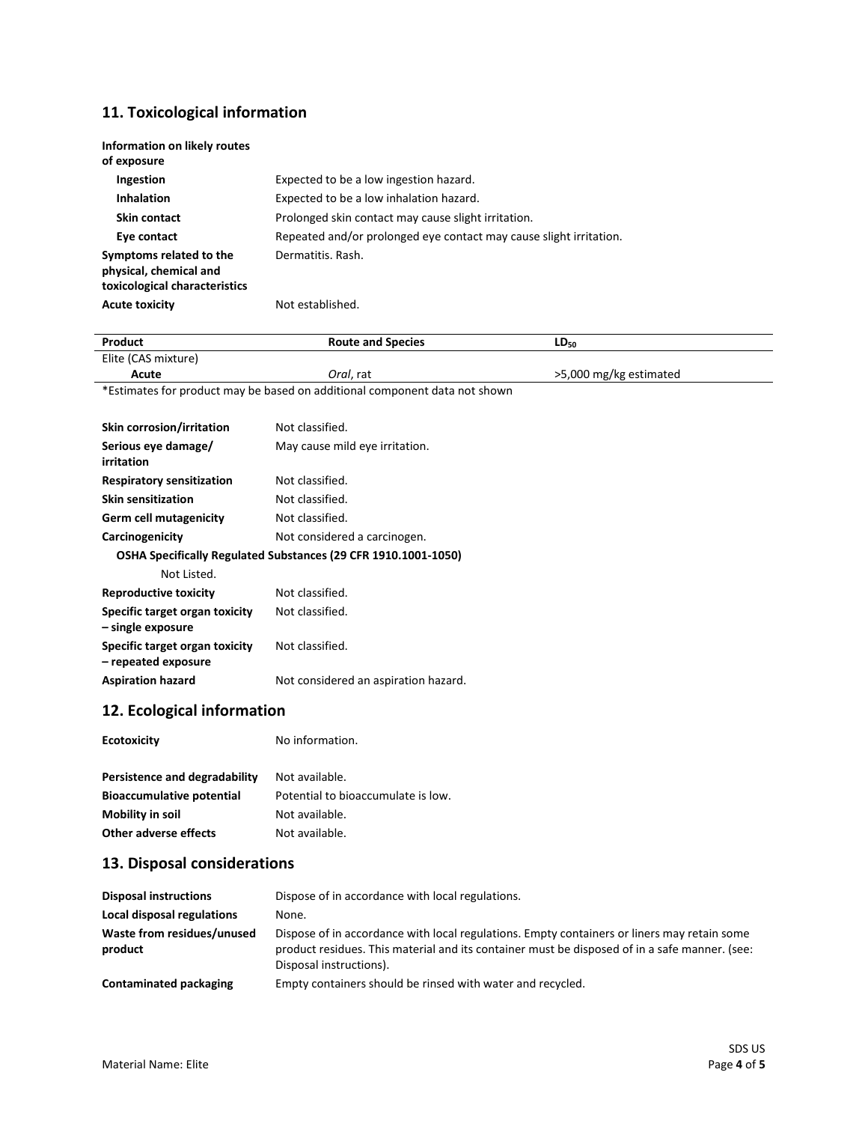# **11. Toxicological information**

| Information on likely routes<br>of exposure                                        |                                                                    |
|------------------------------------------------------------------------------------|--------------------------------------------------------------------|
| <b>Ingestion</b>                                                                   | Expected to be a low ingestion hazard.                             |
| <b>Inhalation</b>                                                                  | Expected to be a low inhalation hazard.                            |
| Skin contact                                                                       | Prolonged skin contact may cause slight irritation.                |
| Eye contact                                                                        | Repeated and/or prolonged eye contact may cause slight irritation. |
| Symptoms related to the<br>physical, chemical and<br>toxicological characteristics | Dermatitis, Rash.                                                  |
| <b>Acute toxicity</b>                                                              | Not established.                                                   |

| Product                                                        | <b>Route and Species</b>                                                   | $LD_{50}$              |
|----------------------------------------------------------------|----------------------------------------------------------------------------|------------------------|
| Elite (CAS mixture)                                            |                                                                            |                        |
| Acute                                                          | Oral, rat                                                                  | >5,000 mg/kg estimated |
|                                                                | *Estimates for product may be based on additional component data not shown |                        |
|                                                                |                                                                            |                        |
| Skin corrosion/irritation                                      | Not classified.                                                            |                        |
| Serious eye damage/                                            | May cause mild eye irritation.                                             |                        |
| irritation                                                     |                                                                            |                        |
| <b>Respiratory sensitization</b>                               | Not classified.                                                            |                        |
| <b>Skin sensitization</b>                                      | Not classified.                                                            |                        |
| <b>Germ cell mutagenicity</b>                                  | Not classified.                                                            |                        |
| Carcinogenicity                                                | Not considered a carcinogen.                                               |                        |
| OSHA Specifically Regulated Substances (29 CFR 1910.1001-1050) |                                                                            |                        |
| Not Listed.                                                    |                                                                            |                        |
| <b>Reproductive toxicity</b>                                   | Not classified.                                                            |                        |
| Specific target organ toxicity                                 | Not classified.                                                            |                        |
| - single exposure                                              |                                                                            |                        |
| Specific target organ toxicity                                 | Not classified.                                                            |                        |
| - repeated exposure                                            |                                                                            |                        |
| <b>Aspiration hazard</b>                                       | Not considered an aspiration hazard.                                       |                        |
| 12. Ecological information                                     |                                                                            |                        |
| <b>Ecotoxicity</b>                                             | No information.                                                            |                        |
|                                                                |                                                                            |                        |

| Persistence and degradability    | Not available.                     |
|----------------------------------|------------------------------------|
| <b>Bioaccumulative potential</b> | Potential to bioaccumulate is low. |
| Mobility in soil                 | Not available.                     |
| Other adverse effects            | Not available.                     |

# **13. Disposal considerations**

| <b>Disposal instructions</b>          | Dispose of in accordance with local regulations.                                                                                                                                                                        |
|---------------------------------------|-------------------------------------------------------------------------------------------------------------------------------------------------------------------------------------------------------------------------|
| Local disposal regulations            | None.                                                                                                                                                                                                                   |
| Waste from residues/unused<br>product | Dispose of in accordance with local regulations. Empty containers or liners may retain some<br>product residues. This material and its container must be disposed of in a safe manner. (see:<br>Disposal instructions). |
| Contaminated packaging                | Empty containers should be rinsed with water and recycled.                                                                                                                                                              |